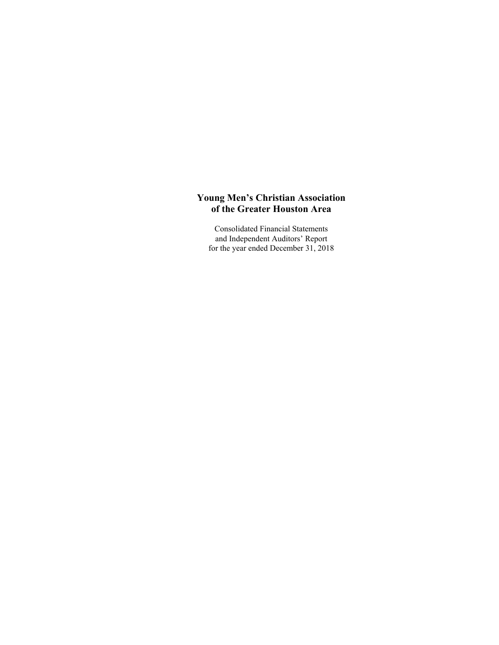Consolidated Financial Statements and Independent Auditors' Report for the year ended December 31, 2018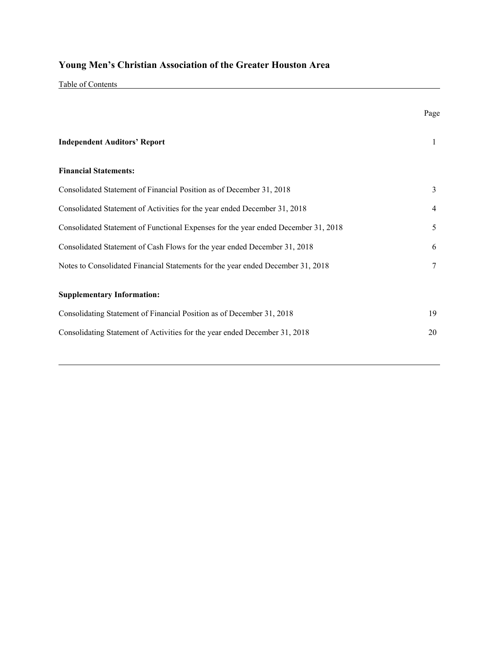Table of Contents

|                                                                                    | Page |
|------------------------------------------------------------------------------------|------|
| <b>Independent Auditors' Report</b>                                                | 1    |
| <b>Financial Statements:</b>                                                       |      |
| Consolidated Statement of Financial Position as of December 31, 2018               | 3    |
| Consolidated Statement of Activities for the year ended December 31, 2018          | 4    |
| Consolidated Statement of Functional Expenses for the year ended December 31, 2018 | 5    |
| Consolidated Statement of Cash Flows for the year ended December 31, 2018          | 6    |
| Notes to Consolidated Financial Statements for the year ended December 31, 2018    | 7    |
| <b>Supplementary Information:</b>                                                  |      |
| Consolidating Statement of Financial Position as of December 31, 2018              | 19   |
| Consolidating Statement of Activities for the year ended December 31, 2018         | 20   |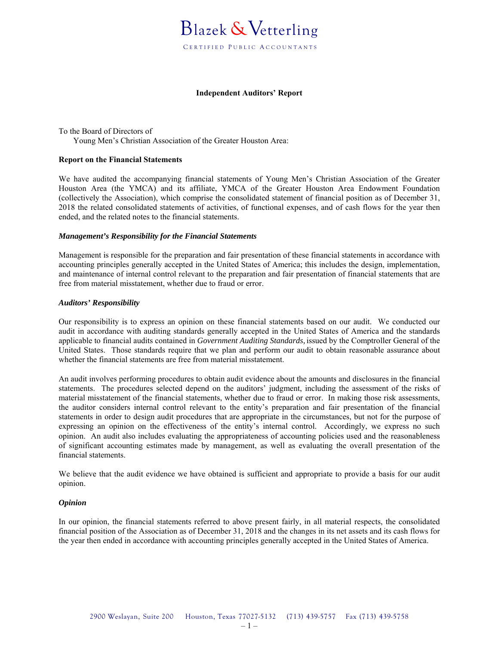

#### **Independent Auditors' Report**

To the Board of Directors of Young Men's Christian Association of the Greater Houston Area:

#### **Report on the Financial Statements**

We have audited the accompanying financial statements of Young Men's Christian Association of the Greater Houston Area (the YMCA) and its affiliate, YMCA of the Greater Houston Area Endowment Foundation (collectively the Association), which comprise the consolidated statement of financial position as of December 31, 2018 the related consolidated statements of activities, of functional expenses, and of cash flows for the year then ended, and the related notes to the financial statements.

#### *Management's Responsibility for the Financial Statements*

Management is responsible for the preparation and fair presentation of these financial statements in accordance with accounting principles generally accepted in the United States of America; this includes the design, implementation, and maintenance of internal control relevant to the preparation and fair presentation of financial statements that are free from material misstatement, whether due to fraud or error.

#### *Auditors' Responsibility*

Our responsibility is to express an opinion on these financial statements based on our audit. We conducted our audit in accordance with auditing standards generally accepted in the United States of America and the standards applicable to financial audits contained in *Government Auditing Standards,* issued by the Comptroller General of the United States. Those standards require that we plan and perform our audit to obtain reasonable assurance about whether the financial statements are free from material misstatement.

An audit involves performing procedures to obtain audit evidence about the amounts and disclosures in the financial statements. The procedures selected depend on the auditors' judgment, including the assessment of the risks of material misstatement of the financial statements, whether due to fraud or error. In making those risk assessments, the auditor considers internal control relevant to the entity's preparation and fair presentation of the financial statements in order to design audit procedures that are appropriate in the circumstances, but not for the purpose of expressing an opinion on the effectiveness of the entity's internal control. Accordingly, we express no such opinion. An audit also includes evaluating the appropriateness of accounting policies used and the reasonableness of significant accounting estimates made by management, as well as evaluating the overall presentation of the financial statements.

We believe that the audit evidence we have obtained is sufficient and appropriate to provide a basis for our audit opinion.

#### *Opinion*

In our opinion, the financial statements referred to above present fairly, in all material respects, the consolidated financial position of the Association as of December 31, 2018 and the changes in its net assets and its cash flows for the year then ended in accordance with accounting principles generally accepted in the United States of America.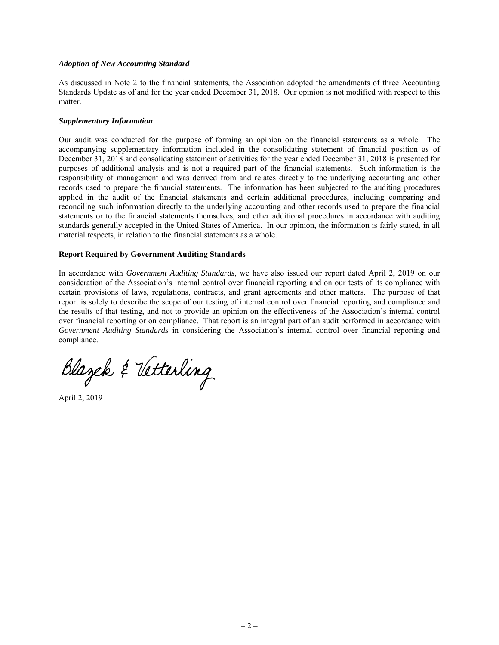#### *Adoption of New Accounting Standard*

As discussed in Note 2 to the financial statements, the Association adopted the amendments of three Accounting Standards Update as of and for the year ended December 31, 2018. Our opinion is not modified with respect to this matter.

#### *Supplementary Information*

Our audit was conducted for the purpose of forming an opinion on the financial statements as a whole. The accompanying supplementary information included in the consolidating statement of financial position as of December 31, 2018 and consolidating statement of activities for the year ended December 31, 2018 is presented for purposes of additional analysis and is not a required part of the financial statements. Such information is the responsibility of management and was derived from and relates directly to the underlying accounting and other records used to prepare the financial statements. The information has been subjected to the auditing procedures applied in the audit of the financial statements and certain additional procedures, including comparing and reconciling such information directly to the underlying accounting and other records used to prepare the financial statements or to the financial statements themselves, and other additional procedures in accordance with auditing standards generally accepted in the United States of America. In our opinion, the information is fairly stated, in all material respects, in relation to the financial statements as a whole.

### **Report Required by Government Auditing Standards**

In accordance with *Government Auditing Standards*, we have also issued our report dated April 2, 2019 on our consideration of the Association's internal control over financial reporting and on our tests of its compliance with certain provisions of laws, regulations, contracts, and grant agreements and other matters. The purpose of that report is solely to describe the scope of our testing of internal control over financial reporting and compliance and the results of that testing, and not to provide an opinion on the effectiveness of the Association's internal control over financial reporting or on compliance. That report is an integral part of an audit performed in accordance with *Government Auditing Standards* in considering the Association's internal control over financial reporting and compliance.

Blazek & Vetterling

April 2, 2019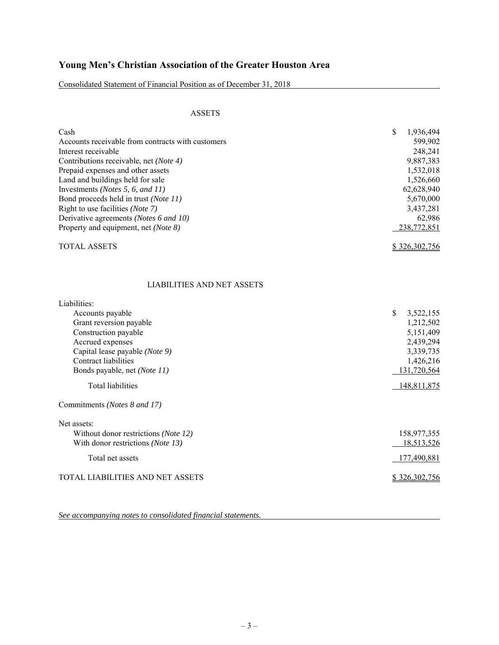Consolidated Statement of Financial Position as of December 31, 2018

## ASSETS

| Cash                                              | \$<br>1,936,494 |
|---------------------------------------------------|-----------------|
| Accounts receivable from contracts with customers | 599,902         |
| Interest receivable                               | 248,241         |
| Contributions receivable, net (Note 4)            | 9,887,383       |
| Prepaid expenses and other assets                 | 1,532,018       |
| Land and buildings held for sale                  | 1,526,660       |
| Investments ( <i>Notes</i> 5, 6, and $11$ )       | 62,628,940      |
| Bond proceeds held in trust (Note 11)             | 5,670,000       |
| Right to use facilities (Note 7)                  | 3,437,281       |
| Derivative agreements (Notes 6 and 10)            | 62.986          |
| Property and equipment, net (Note 8)              | 238,772,851     |
| <b>TOTAL ASSETS</b>                               | \$326,302,756   |

## LIABILITIES AND NET ASSETS

| Liabilities:                                  |                 |
|-----------------------------------------------|-----------------|
| Accounts payable                              | \$<br>3,522,155 |
| Grant reversion payable                       | 1,212,502       |
| Construction payable                          | 5,151,409       |
| Accrued expenses                              | 2,439,294       |
| Capital lease payable (Note 9)                | 3,339,735       |
| Contract liabilities                          | 1,426,216       |
| Bonds payable, net (Note 11)                  | 131,720,564     |
| <b>Total liabilities</b>                      | 148,811,875     |
| Commitments (Notes 8 and 17)                  |                 |
| Net assets:                                   |                 |
| Without donor restrictions ( <i>Note 12</i> ) | 158,977,355     |
| With donor restrictions ( <i>Note 13</i> )    | 18,513,526      |
| Total net assets                              | 177,490,881     |
| TOTAL LIABILITIES AND NET ASSETS              | \$326,302,756   |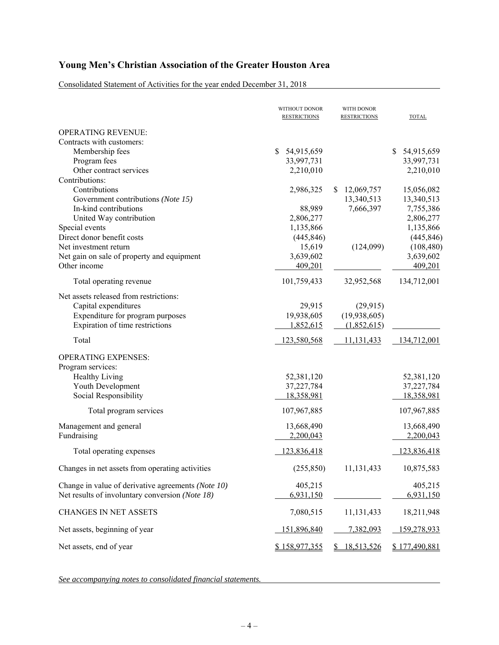Consolidated Statement of Activities for the year ended December 31, 2018

|                                                    | WITHOUT DONOR<br><b>RESTRICTIONS</b> | WITH DONOR<br><b>RESTRICTIONS</b> | <b>TOTAL</b>       |
|----------------------------------------------------|--------------------------------------|-----------------------------------|--------------------|
| <b>OPERATING REVENUE:</b>                          |                                      |                                   |                    |
| Contracts with customers:                          |                                      |                                   |                    |
| Membership fees                                    | \$<br>54,915,659                     |                                   | \$<br>54,915,659   |
| Program fees                                       | 33,997,731                           |                                   | 33,997,731         |
| Other contract services                            | 2,210,010                            |                                   | 2,210,010          |
| Contributions:                                     |                                      |                                   |                    |
| Contributions                                      | 2,986,325                            | 12,069,757<br>S.                  | 15,056,082         |
| Government contributions (Note 15)                 |                                      | 13,340,513                        | 13,340,513         |
| In-kind contributions                              | 88,989                               | 7,666,397                         | 7,755,386          |
| United Way contribution                            | 2,806,277                            |                                   | 2,806,277          |
| Special events                                     | 1,135,866                            |                                   | 1,135,866          |
| Direct donor benefit costs                         | (445, 846)                           |                                   | (445, 846)         |
| Net investment return                              | 15,619                               | (124,099)                         | (108, 480)         |
| Net gain on sale of property and equipment         | 3,639,602                            |                                   | 3,639,602          |
| Other income                                       | 409,201                              |                                   | 409,201            |
| Total operating revenue                            | 101,759,433                          | 32,952,568                        | 134,712,001        |
| Net assets released from restrictions:             |                                      |                                   |                    |
| Capital expenditures                               | 29,915                               | (29, 915)                         |                    |
| Expenditure for program purposes                   | 19,938,605                           | (19,938,605)                      |                    |
| Expiration of time restrictions                    | 1,852,615                            | (1,852,615)                       |                    |
| Total                                              | 123,580,568                          | 11,131,433                        | 134,712,001        |
| <b>OPERATING EXPENSES:</b>                         |                                      |                                   |                    |
| Program services:                                  |                                      |                                   |                    |
| Healthy Living                                     | 52,381,120                           |                                   | 52,381,120         |
| Youth Development                                  | 37,227,784                           |                                   | 37,227,784         |
| Social Responsibility                              | 18,358,981                           |                                   | 18,358,981         |
|                                                    |                                      |                                   |                    |
| Total program services                             | 107,967,885                          |                                   | 107,967,885        |
| Management and general                             | 13,668,490                           |                                   | 13,668,490         |
| Fundraising                                        | 2,200,043                            |                                   | 2,200,043          |
| Total operating expenses                           | 123,836,418                          |                                   | 123,836,418        |
| Changes in net assets from operating activities    | (255, 850)                           | 11,131,433                        | 10,875,583         |
| Change in value of derivative agreements (Note 10) | 405,215                              |                                   | 405,215            |
| Net results of involuntary conversion (Note 18)    | 6,931,150                            |                                   | 6,931,150          |
|                                                    |                                      |                                   |                    |
| <b>CHANGES IN NET ASSETS</b>                       | 7,080,515                            | 11,131,433                        | 18,211,948         |
| Net assets, beginning of year                      | 151,896,840                          | 7,382,093                         | <u>159,278,933</u> |
| Net assets, end of year                            | \$158,977,355                        | 18,513,526                        | \$177,490,881      |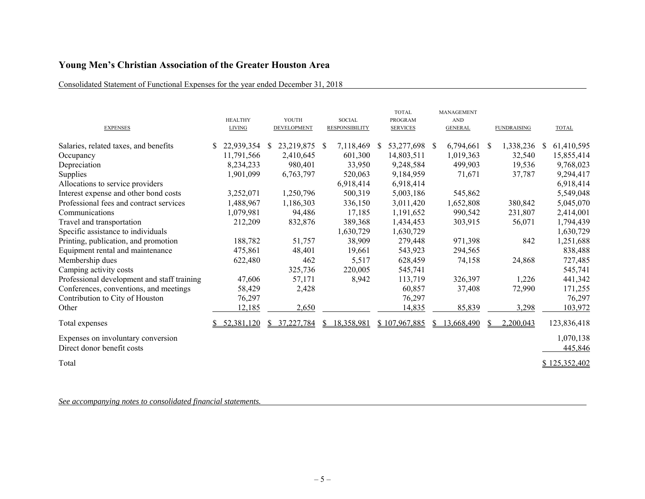## Consolidated Statement of Functional Expenses for the year ended December 31, 2018

| <b>EXPENSES</b>                             | <b>HEALTHY</b><br><b>LIVING</b> |    | YOUTH<br>DEVELOPMENT |    | <b>SOCIAL</b><br><b>RESPONSIBILITY</b> |              | <b>TOTAL</b><br><b>PROGRAM</b><br><b>SERVICES</b> |    | MANAGEMENT<br><b>AND</b><br><b>GENERAL</b> |    | <b>FUNDRAISING</b> | <b>TOTAL</b>  |
|---------------------------------------------|---------------------------------|----|----------------------|----|----------------------------------------|--------------|---------------------------------------------------|----|--------------------------------------------|----|--------------------|---------------|
| Salaries, related taxes, and benefits       | 22,939,354                      | -S | 23,219,875           | -S | 7,118,469                              | <sup>S</sup> | 53,277,698 \$                                     |    | 6,794,661                                  | -S | 1,338,236          | 61,410,595    |
| Occupancy                                   | 11,791,566                      |    | 2,410,645            |    | 601,300                                |              | 14,803,511                                        |    | 1,019,363                                  |    | 32,540             | 15,855,414    |
| Depreciation                                | 8,234,233                       |    | 980,401              |    | 33,950                                 |              | 9,248,584                                         |    | 499,903                                    |    | 19,536             | 9,768,023     |
| Supplies                                    | 1,901,099                       |    | 6,763,797            |    | 520,063                                |              | 9,184,959                                         |    | 71,671                                     |    | 37,787             | 9,294,417     |
| Allocations to service providers            |                                 |    |                      |    | 6,918,414                              |              | 6,918,414                                         |    |                                            |    |                    | 6,918,414     |
| Interest expense and other bond costs       | 3,252,071                       |    | 1,250,796            |    | 500,319                                |              | 5,003,186                                         |    | 545,862                                    |    |                    | 5,549,048     |
| Professional fees and contract services     | 1,488,967                       |    | 1,186,303            |    | 336,150                                |              | 3,011,420                                         |    | 1,652,808                                  |    | 380,842            | 5,045,070     |
| Communications                              | 1,079,981                       |    | 94,486               |    | 17,185                                 |              | 1,191,652                                         |    | 990,542                                    |    | 231,807            | 2,414,001     |
| Travel and transportation                   | 212,209                         |    | 832,876              |    | 389,368                                |              | 1,434,453                                         |    | 303,915                                    |    | 56,071             | 1,794,439     |
| Specific assistance to individuals          |                                 |    |                      |    | 1,630,729                              |              | 1,630,729                                         |    |                                            |    |                    | 1,630,729     |
| Printing, publication, and promotion        | 188,782                         |    | 51,757               |    | 38,909                                 |              | 279,448                                           |    | 971,398                                    |    | 842                | 1,251,688     |
| Equipment rental and maintenance            | 475,861                         |    | 48,401               |    | 19,661                                 |              | 543,923                                           |    | 294,565                                    |    |                    | 838,488       |
| Membership dues                             | 622,480                         |    | 462                  |    | 5,517                                  |              | 628,459                                           |    | 74,158                                     |    | 24,868             | 727,485       |
| Camping activity costs                      |                                 |    | 325,736              |    | 220,005                                |              | 545,741                                           |    |                                            |    |                    | 545,741       |
| Professional development and staff training | 47,606                          |    | 57,171               |    | 8,942                                  |              | 113,719                                           |    | 326,397                                    |    | 1,226              | 441,342       |
| Conferences, conventions, and meetings      | 58,429                          |    | 2,428                |    |                                        |              | 60,857                                            |    | 37,408                                     |    | 72,990             | 171,255       |
| Contribution to City of Houston             | 76,297                          |    |                      |    |                                        |              | 76,297                                            |    |                                            |    |                    | 76,297        |
| Other                                       | 12,185                          |    | 2,650                |    |                                        |              | 14,835                                            |    | 85,839                                     |    | 3,298              | 103,972       |
| Total expenses                              | 52,381,120                      |    | 37,227,784           |    | 18,358,981                             |              | \$107,967,885                                     | S. | 13,668,490                                 |    | 2,200,043          | 123,836,418   |
| Expenses on involuntary conversion          |                                 |    |                      |    |                                        |              |                                                   |    |                                            |    |                    | 1,070,138     |
| Direct donor benefit costs                  |                                 |    |                      |    |                                        |              |                                                   |    |                                            |    |                    | 445,846       |
| Total                                       |                                 |    |                      |    |                                        |              |                                                   |    |                                            |    |                    | \$125,352,402 |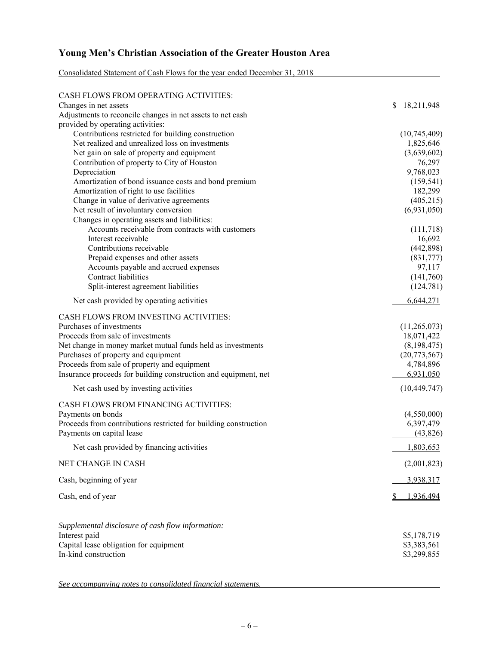| Consolidated Statement of Cash Flows for the year ended December 31, 2018 |
|---------------------------------------------------------------------------|
|---------------------------------------------------------------------------|

| CASH FLOWS FROM OPERATING ACTIVITIES:                                               |                          |
|-------------------------------------------------------------------------------------|--------------------------|
| Changes in net assets                                                               | \$<br>18,211,948         |
| Adjustments to reconcile changes in net assets to net cash                          |                          |
| provided by operating activities:                                                   |                          |
| Contributions restricted for building construction                                  | (10,745,409)             |
| Net realized and unrealized loss on investments                                     | 1,825,646                |
| Net gain on sale of property and equipment                                          | (3,639,602)              |
| Contribution of property to City of Houston                                         | 76,297                   |
| Depreciation                                                                        | 9,768,023                |
| Amortization of bond issuance costs and bond premium                                | (159, 541)               |
| Amortization of right to use facilities<br>Change in value of derivative agreements | 182,299                  |
| Net result of involuntary conversion                                                | (405,215)<br>(6,931,050) |
| Changes in operating assets and liabilities:                                        |                          |
| Accounts receivable from contracts with customers                                   | (111,718)                |
| Interest receivable                                                                 | 16,692                   |
| Contributions receivable                                                            | (442,898)                |
| Prepaid expenses and other assets                                                   | (831,777)                |
| Accounts payable and accrued expenses                                               | 97,117                   |
| Contract liabilities                                                                | (141,760)                |
| Split-interest agreement liabilities                                                | (124, 781)               |
| Net cash provided by operating activities                                           | 6,644,271                |
| CASH FLOWS FROM INVESTING ACTIVITIES:                                               |                          |
| Purchases of investments                                                            | (11,265,073)             |
| Proceeds from sale of investments                                                   | 18,071,422               |
| Net change in money market mutual funds held as investments                         | (8,198,475)              |
| Purchases of property and equipment                                                 | (20,773,567)             |
| Proceeds from sale of property and equipment                                        | 4,784,896                |
| Insurance proceeds for building construction and equipment, net                     | 6,931,050                |
| Net cash used by investing activities                                               | (10, 449, 747)           |
| CASH FLOWS FROM FINANCING ACTIVITIES:                                               |                          |
| Payments on bonds                                                                   | (4,550,000)              |
| Proceeds from contributions restricted for building construction                    | 6,397,479                |
| Payments on capital lease                                                           | (43,826)                 |
| Net cash provided by financing activities                                           | 1,803,653                |
| NET CHANGE IN CASH                                                                  | (2,001,823)              |
| Cash, beginning of year                                                             | 3,938,317                |
| Cash, end of year                                                                   | 1,936,494                |
|                                                                                     |                          |
| Supplemental disclosure of cash flow information:                                   |                          |
| Interest paid                                                                       | \$5,178,719              |
| Capital lease obligation for equipment                                              | \$3,383,561              |
| In-kind construction                                                                | \$3,299,855              |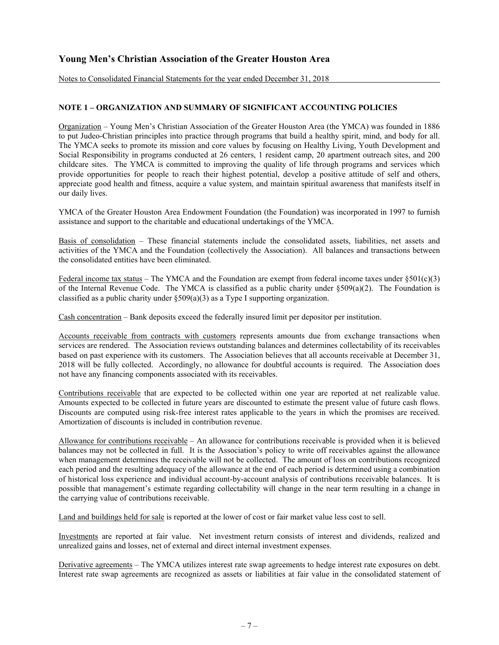Notes to Consolidated Financial Statements for the year ended December 31, 2018

## **NOTE 1 – ORGANIZATION AND SUMMARY OF SIGNIFICANT ACCOUNTING POLICIES**

Organization – Young Men's Christian Association of the Greater Houston Area (the YMCA) was founded in 1886 to put Judeo-Christian principles into practice through programs that build a healthy spirit, mind, and body for all. The YMCA seeks to promote its mission and core values by focusing on Healthy Living, Youth Development and Social Responsibility in programs conducted at 26 centers, 1 resident camp, 20 apartment outreach sites, and 200 childcare sites. The YMCA is committed to improving the quality of life through programs and services which provide opportunities for people to reach their highest potential, develop a positive attitude of self and others, appreciate good health and fitness, acquire a value system, and maintain spiritual awareness that manifests itself in our daily lives.

YMCA of the Greater Houston Area Endowment Foundation (the Foundation) was incorporated in 1997 to furnish assistance and support to the charitable and educational undertakings of the YMCA.

Basis of consolidation – These financial statements include the consolidated assets, liabilities, net assets and activities of the YMCA and the Foundation (collectively the Association). All balances and transactions between the consolidated entities have been eliminated.

Federal income tax status – The YMCA and the Foundation are exempt from federal income taxes under  $\S 501(c)(3)$ of the Internal Revenue Code. The YMCA is classified as a public charity under §509(a)(2). The Foundation is classified as a public charity under §509(a)(3) as a Type I supporting organization.

Cash concentration – Bank deposits exceed the federally insured limit per depositor per institution.

Accounts receivable from contracts with customers represents amounts due from exchange transactions when services are rendered. The Association reviews outstanding balances and determines collectability of its receivables based on past experience with its customers. The Association believes that all accounts receivable at December 31, 2018 will be fully collected. Accordingly, no allowance for doubtful accounts is required. The Association does not have any financing components associated with its receivables.

Contributions receivable that are expected to be collected within one year are reported at net realizable value. Amounts expected to be collected in future years are discounted to estimate the present value of future cash flows. Discounts are computed using risk-free interest rates applicable to the years in which the promises are received. Amortization of discounts is included in contribution revenue.

Allowance for contributions receivable – An allowance for contributions receivable is provided when it is believed balances may not be collected in full. It is the Association's policy to write off receivables against the allowance when management determines the receivable will not be collected. The amount of loss on contributions recognized each period and the resulting adequacy of the allowance at the end of each period is determined using a combination of historical loss experience and individual account-by-account analysis of contributions receivable balances. It is possible that management's estimate regarding collectability will change in the near term resulting in a change in the carrying value of contributions receivable.

Land and buildings held for sale is reported at the lower of cost or fair market value less cost to sell.

Investments are reported at fair value. Net investment return consists of interest and dividends, realized and unrealized gains and losses, net of external and direct internal investment expenses.

Derivative agreements – The YMCA utilizes interest rate swap agreements to hedge interest rate exposures on debt. Interest rate swap agreements are recognized as assets or liabilities at fair value in the consolidated statement of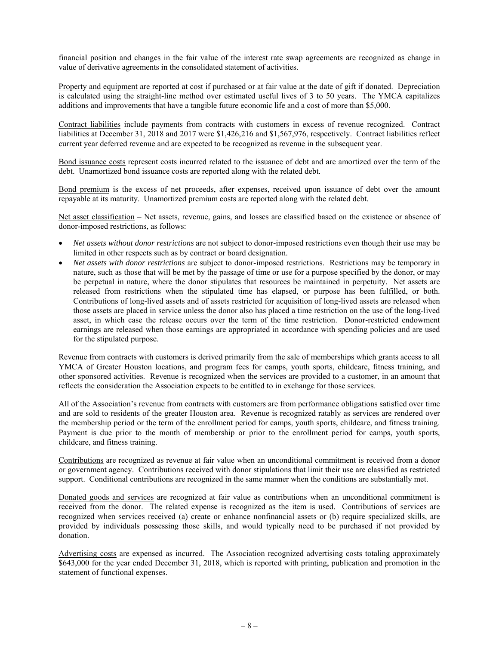financial position and changes in the fair value of the interest rate swap agreements are recognized as change in value of derivative agreements in the consolidated statement of activities.

Property and equipment are reported at cost if purchased or at fair value at the date of gift if donated. Depreciation is calculated using the straight-line method over estimated useful lives of 3 to 50 years. The YMCA capitalizes additions and improvements that have a tangible future economic life and a cost of more than \$5,000.

Contract liabilities include payments from contracts with customers in excess of revenue recognized. Contract liabilities at December 31, 2018 and 2017 were \$1,426,216 and \$1,567,976, respectively. Contract liabilities reflect current year deferred revenue and are expected to be recognized as revenue in the subsequent year.

Bond issuance costs represent costs incurred related to the issuance of debt and are amortized over the term of the debt. Unamortized bond issuance costs are reported along with the related debt.

Bond premium is the excess of net proceeds, after expenses, received upon issuance of debt over the amount repayable at its maturity. Unamortized premium costs are reported along with the related debt.

Net asset classification – Net assets, revenue, gains, and losses are classified based on the existence or absence of donor-imposed restrictions, as follows:

- *Net assets without donor restrictions* are not subject to donor-imposed restrictions even though their use may be limited in other respects such as by contract or board designation.
- *Net assets with donor restrictions* are subject to donor-imposed restrictions. Restrictions may be temporary in nature, such as those that will be met by the passage of time or use for a purpose specified by the donor, or may be perpetual in nature, where the donor stipulates that resources be maintained in perpetuity. Net assets are released from restrictions when the stipulated time has elapsed, or purpose has been fulfilled, or both. Contributions of long-lived assets and of assets restricted for acquisition of long-lived assets are released when those assets are placed in service unless the donor also has placed a time restriction on the use of the long-lived asset, in which case the release occurs over the term of the time restriction. Donor-restricted endowment earnings are released when those earnings are appropriated in accordance with spending policies and are used for the stipulated purpose.

Revenue from contracts with customers is derived primarily from the sale of memberships which grants access to all YMCA of Greater Houston locations, and program fees for camps, youth sports, childcare, fitness training, and other sponsored activities. Revenue is recognized when the services are provided to a customer, in an amount that reflects the consideration the Association expects to be entitled to in exchange for those services.

All of the Association's revenue from contracts with customers are from performance obligations satisfied over time and are sold to residents of the greater Houston area. Revenue is recognized ratably as services are rendered over the membership period or the term of the enrollment period for camps, youth sports, childcare, and fitness training. Payment is due prior to the month of membership or prior to the enrollment period for camps, youth sports, childcare, and fitness training.

Contributions are recognized as revenue at fair value when an unconditional commitment is received from a donor or government agency. Contributions received with donor stipulations that limit their use are classified as restricted support. Conditional contributions are recognized in the same manner when the conditions are substantially met.

Donated goods and services are recognized at fair value as contributions when an unconditional commitment is received from the donor. The related expense is recognized as the item is used. Contributions of services are recognized when services received (a) create or enhance nonfinancial assets or (b) require specialized skills, are provided by individuals possessing those skills, and would typically need to be purchased if not provided by donation.

Advertising costs are expensed as incurred. The Association recognized advertising costs totaling approximately \$643,000 for the year ended December 31, 2018, which is reported with printing, publication and promotion in the statement of functional expenses.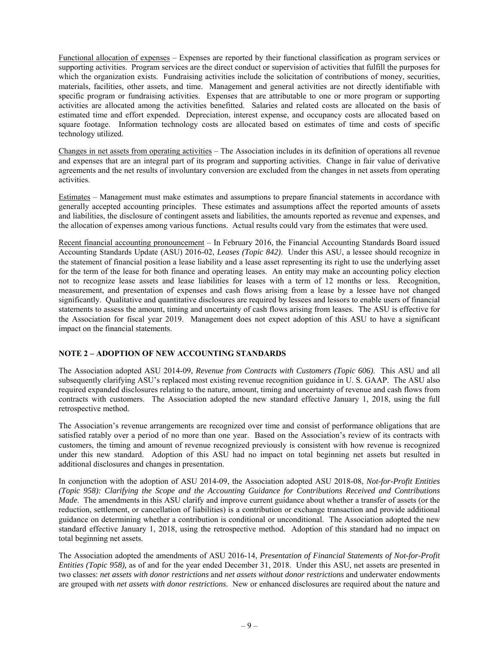Functional allocation of expenses – Expenses are reported by their functional classification as program services or supporting activities. Program services are the direct conduct or supervision of activities that fulfill the purposes for which the organization exists. Fundraising activities include the solicitation of contributions of money, securities, materials, facilities, other assets, and time. Management and general activities are not directly identifiable with specific program or fundraising activities. Expenses that are attributable to one or more program or supporting activities are allocated among the activities benefitted. Salaries and related costs are allocated on the basis of estimated time and effort expended. Depreciation, interest expense, and occupancy costs are allocated based on square footage. Information technology costs are allocated based on estimates of time and costs of specific technology utilized.

Changes in net assets from operating activities – The Association includes in its definition of operations all revenue and expenses that are an integral part of its program and supporting activities. Change in fair value of derivative agreements and the net results of involuntary conversion are excluded from the changes in net assets from operating activities.

Estimates – Management must make estimates and assumptions to prepare financial statements in accordance with generally accepted accounting principles. These estimates and assumptions affect the reported amounts of assets and liabilities, the disclosure of contingent assets and liabilities, the amounts reported as revenue and expenses, and the allocation of expenses among various functions. Actual results could vary from the estimates that were used.

Recent financial accounting pronouncement – In February 2016, the Financial Accounting Standards Board issued Accounting Standards Update (ASU) 2016-02, *Leases (Topic 842)*. Under this ASU, a lessee should recognize in the statement of financial position a lease liability and a lease asset representing its right to use the underlying asset for the term of the lease for both finance and operating leases. An entity may make an accounting policy election not to recognize lease assets and lease liabilities for leases with a term of 12 months or less. Recognition, measurement, and presentation of expenses and cash flows arising from a lease by a lessee have not changed significantly. Qualitative and quantitative disclosures are required by lessees and lessors to enable users of financial statements to assess the amount, timing and uncertainty of cash flows arising from leases. The ASU is effective for the Association for fiscal year 2019. Management does not expect adoption of this ASU to have a significant impact on the financial statements.

## **NOTE 2 – ADOPTION OF NEW ACCOUNTING STANDARDS**

The Association adopted ASU 2014-09, *Revenue from Contracts with Customers (Topic 606)*. This ASU and all subsequently clarifying ASU's replaced most existing revenue recognition guidance in U. S. GAAP. The ASU also required expanded disclosures relating to the nature, amount, timing and uncertainty of revenue and cash flows from contracts with customers. The Association adopted the new standard effective January 1, 2018, using the full retrospective method.

The Association's revenue arrangements are recognized over time and consist of performance obligations that are satisfied ratably over a period of no more than one year. Based on the Association's review of its contracts with customers, the timing and amount of revenue recognized previously is consistent with how revenue is recognized under this new standard. Adoption of this ASU had no impact on total beginning net assets but resulted in additional disclosures and changes in presentation.

In conjunction with the adoption of ASU 2014-09, the Association adopted ASU 2018-08, *Not-for-Profit Entities (Topic 958): Clarifying the Scope and the Accounting Guidance for Contributions Received and Contributions Made*. The amendments in this ASU clarify and improve current guidance about whether a transfer of assets (or the reduction, settlement, or cancellation of liabilities) is a contribution or exchange transaction and provide additional guidance on determining whether a contribution is conditional or unconditional. The Association adopted the new standard effective January 1, 2018, using the retrospective method. Adoption of this standard had no impact on total beginning net assets.

The Association adopted the amendments of ASU 2016-14, *Presentation of Financial Statements of Not-for-Profit Entities (Topic 958),* as of and for the year ended December 31, 2018. Under this ASU, net assets are presented in two classes: *net assets with donor restrictions* and *net assets without donor restrictions* and underwater endowments are grouped with *net assets with donor restrictions*. New or enhanced disclosures are required about the nature and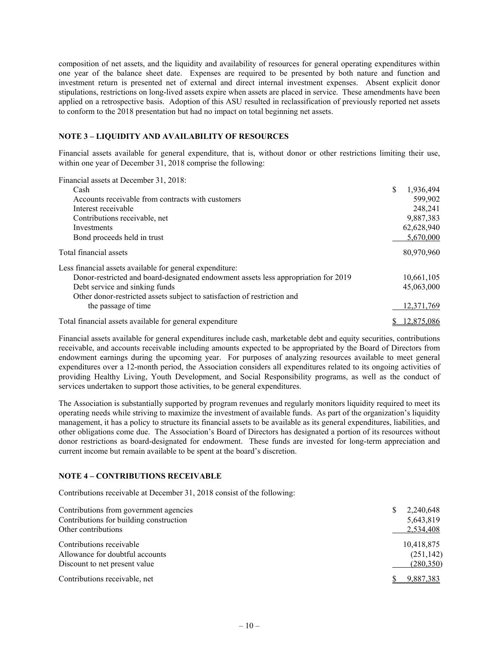composition of net assets, and the liquidity and availability of resources for general operating expenditures within one year of the balance sheet date. Expenses are required to be presented by both nature and function and investment return is presented net of external and direct internal investment expenses. Absent explicit donor stipulations, restrictions on long-lived assets expire when assets are placed in service. These amendments have been applied on a retrospective basis. Adoption of this ASU resulted in reclassification of previously reported net assets to conform to the 2018 presentation but had no impact on total beginning net assets.

## **NOTE 3 – LIQUIDITY AND AVAILABILITY OF RESOURCES**

Financial assets available for general expenditure, that is, without donor or other restrictions limiting their use, within one year of December 31, 2018 comprise the following:

Financial assets at December 31, 2018:

| Cash                                                                               | \$<br>1,936,494 |
|------------------------------------------------------------------------------------|-----------------|
| Accounts receivable from contracts with customers                                  | 599,902         |
| Interest receivable                                                                | 248,241         |
| Contributions receivable, net                                                      | 9,887,383       |
| Investments                                                                        | 62,628,940      |
| Bond proceeds held in trust                                                        | 5,670,000       |
| Total financial assets                                                             | 80,970,960      |
| Less financial assets available for general expenditure:                           |                 |
| Donor-restricted and board-designated endowment assets less appropriation for 2019 | 10,661,105      |
| Debt service and sinking funds                                                     | 45,063,000      |
| Other donor-restricted assets subject to satisfaction of restriction and           |                 |
| the passage of time                                                                | 12,371,769      |
| Total financial assets available for general expenditure                           | 12,875,086      |

Financial assets available for general expenditures include cash, marketable debt and equity securities, contributions receivable, and accounts receivable including amounts expected to be appropriated by the Board of Directors from endowment earnings during the upcoming year. For purposes of analyzing resources available to meet general expenditures over a 12-month period, the Association considers all expenditures related to its ongoing activities of providing Healthy Living, Youth Development, and Social Responsibility programs, as well as the conduct of services undertaken to support those activities, to be general expenditures.

The Association is substantially supported by program revenues and regularly monitors liquidity required to meet its operating needs while striving to maximize the investment of available funds. As part of the organization's liquidity management, it has a policy to structure its financial assets to be available as its general expenditures, liabilities, and other obligations come due. The Association's Board of Directors has designated a portion of its resources without donor restrictions as board-designated for endowment. These funds are invested for long-term appreciation and current income but remain available to be spent at the board's discretion.

## **NOTE 4 – CONTRIBUTIONS RECEIVABLE**

Contributions receivable at December 31, 2018 consist of the following:

| Contributions from government agencies<br>Contributions for building construction | 2,240,648<br>5,643,819 |
|-----------------------------------------------------------------------------------|------------------------|
| Other contributions                                                               | 2,534,408              |
| Contributions receivable                                                          | 10,418,875             |
| Allowance for doubtful accounts                                                   | (251, 142)             |
| Discount to net present value                                                     | (280,350)              |
| Contributions receivable, net                                                     | 9.887.383              |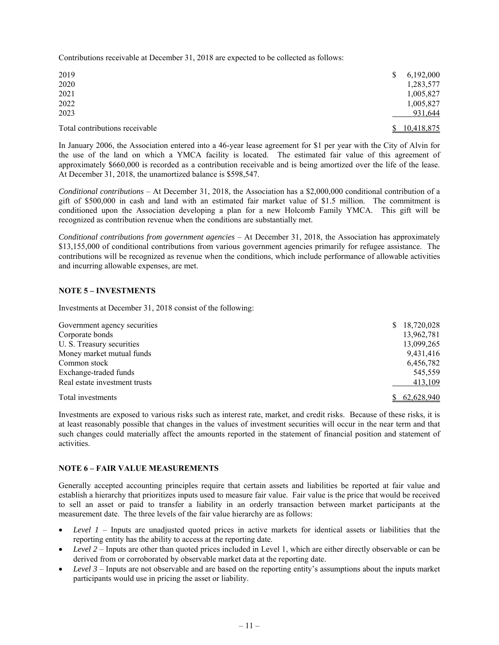Contributions receivable at December 31, 2018 are expected to be collected as follows:

| 2019<br>2020                   |    | 6,192,000<br>1,283,577 |
|--------------------------------|----|------------------------|
| 2021                           |    | 1,005,827              |
| 2022                           |    | 1,005,827              |
| 2023                           |    | 931,644                |
| Total contributions receivable | S. | 10.418.875             |

In January 2006, the Association entered into a 46-year lease agreement for \$1 per year with the City of Alvin for the use of the land on which a YMCA facility is located. The estimated fair value of this agreement of approximately \$660,000 is recorded as a contribution receivable and is being amortized over the life of the lease. At December 31, 2018, the unamortized balance is \$598,547.

*Conditional contributions* – At December 31, 2018, the Association has a \$2,000,000 conditional contribution of a gift of \$500,000 in cash and land with an estimated fair market value of \$1.5 million. The commitment is conditioned upon the Association developing a plan for a new Holcomb Family YMCA. This gift will be recognized as contribution revenue when the conditions are substantially met.

*Conditional contributions from government agencies* – At December 31, 2018, the Association has approximately \$13,155,000 of conditional contributions from various government agencies primarily for refugee assistance. The contributions will be recognized as revenue when the conditions, which include performance of allowable activities and incurring allowable expenses, are met.

## **NOTE 5 – INVESTMENTS**

Investments at December 31, 2018 consist of the following:

| Government agency securities  | 18,720,028<br>S. |
|-------------------------------|------------------|
| Corporate bonds               | 13,962,781       |
| U. S. Treasury securities     | 13,099,265       |
| Money market mutual funds     | 9,431,416        |
| Common stock                  | 6,456,782        |
| Exchange-traded funds         | 545,559          |
| Real estate investment trusts | 413,109          |
| Total investments             | 62.628.940       |

Investments are exposed to various risks such as interest rate, market, and credit risks. Because of these risks, it is at least reasonably possible that changes in the values of investment securities will occur in the near term and that such changes could materially affect the amounts reported in the statement of financial position and statement of activities.

## **NOTE 6 – FAIR VALUE MEASUREMENTS**

Generally accepted accounting principles require that certain assets and liabilities be reported at fair value and establish a hierarchy that prioritizes inputs used to measure fair value. Fair value is the price that would be received to sell an asset or paid to transfer a liability in an orderly transaction between market participants at the measurement date. The three levels of the fair value hierarchy are as follows:

- *Level 1* Inputs are unadjusted quoted prices in active markets for identical assets or liabilities that the reporting entity has the ability to access at the reporting date.
- *Level 2* Inputs are other than quoted prices included in Level 1, which are either directly observable or can be derived from or corroborated by observable market data at the reporting date.
- *Level 3* Inputs are not observable and are based on the reporting entity's assumptions about the inputs market participants would use in pricing the asset or liability.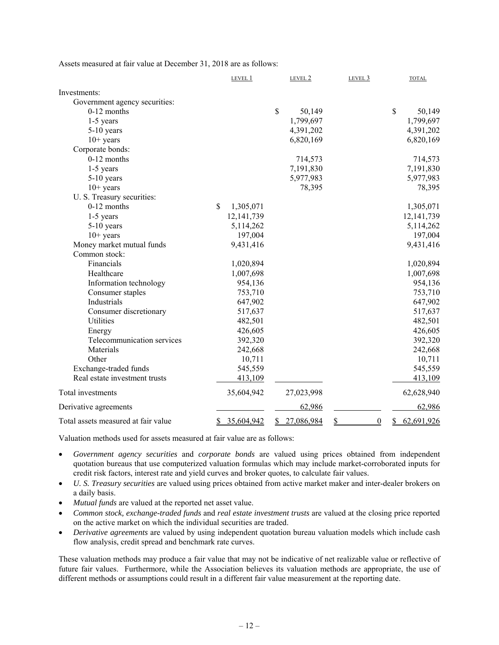Assets measured at fair value at December 31, 2018 are as follows:

|                                     | LEVEL 1                    |              | LEVEL 2    | LEVEL 3              | <b>TOTAL</b>                                     |
|-------------------------------------|----------------------------|--------------|------------|----------------------|--------------------------------------------------|
| Investments:                        |                            |              |            |                      |                                                  |
| Government agency securities:       |                            |              |            |                      |                                                  |
| 0-12 months                         |                            | $\mathbb{S}$ | 50,149     |                      | \$<br>50,149                                     |
| $1-5$ years                         |                            |              | 1,799,697  |                      | 1,799,697                                        |
| 5-10 years                          |                            |              | 4,391,202  |                      | 4,391,202                                        |
| $10+$ years                         |                            |              | 6,820,169  |                      | 6,820,169                                        |
| Corporate bonds:                    |                            |              |            |                      |                                                  |
| $0-12$ months                       |                            |              | 714,573    |                      | 714,573                                          |
| 1-5 years                           |                            |              | 7,191,830  |                      | 7,191,830                                        |
| $5-10$ years                        |                            |              | 5,977,983  |                      | 5,977,983                                        |
| $10+$ years                         |                            |              | 78,395     |                      | 78,395                                           |
| U. S. Treasury securities:          |                            |              |            |                      |                                                  |
| $0-12$ months                       | $\mathsf{\$}$<br>1,305,071 |              |            |                      | 1,305,071                                        |
| $1-5$ years                         | 12, 141, 739               |              |            |                      | 12, 141, 739                                     |
| $5-10$ years                        | 5,114,262                  |              |            |                      | 5,114,262                                        |
| $10+$ years                         | 197,004                    |              |            |                      | 197,004                                          |
| Money market mutual funds           | 9,431,416                  |              |            |                      | 9,431,416                                        |
| Common stock:                       |                            |              |            |                      |                                                  |
| Financials                          | 1,020,894                  |              |            |                      | 1,020,894                                        |
| Healthcare                          | 1,007,698                  |              |            |                      | 1,007,698                                        |
| Information technology              | 954,136                    |              |            |                      | 954,136                                          |
| Consumer staples                    | 753,710                    |              |            |                      | 753,710                                          |
| Industrials                         | 647,902                    |              |            |                      | 647,902                                          |
| Consumer discretionary              | 517,637                    |              |            |                      | 517,637                                          |
| Utilities                           | 482,501                    |              |            |                      | 482,501                                          |
| Energy                              | 426,605                    |              |            |                      | 426,605                                          |
| Telecommunication services          | 392,320                    |              |            |                      | 392,320                                          |
| Materials                           | 242,668                    |              |            |                      | 242,668                                          |
| Other                               | 10,711                     |              |            |                      | 10,711                                           |
| Exchange-traded funds               | 545,559                    |              |            |                      | 545,559                                          |
| Real estate investment trusts       | 413,109                    |              |            |                      | 413,109                                          |
| Total investments                   | 35,604,942                 |              | 27,023,998 |                      | 62,628,940                                       |
| Derivative agreements               |                            |              | 62,986     |                      | 62,986                                           |
| Total assets measured at fair value | 35,604,942<br>\$           | \$           | 27,086,984 | \$<br>$\overline{0}$ | 62,691,926<br>$\mathbf{\underline{\mathcal{S}}}$ |

Valuation methods used for assets measured at fair value are as follows:

- *Government agency securities* and *corporate bonds* are valued using prices obtained from independent quotation bureaus that use computerized valuation formulas which may include market-corroborated inputs for credit risk factors, interest rate and yield curves and broker quotes, to calculate fair values.
- *U. S. Treasury securities* are valued using prices obtained from active market maker and inter-dealer brokers on a daily basis.
- *Mutual funds* are valued at the reported net asset value.
- *Common stock, exchange-traded funds* and *real estate investment trusts* are valued at the closing price reported on the active market on which the individual securities are traded.
- *Derivative agreements* are valued by using independent quotation bureau valuation models which include cash flow analysis, credit spread and benchmark rate curves.

These valuation methods may produce a fair value that may not be indicative of net realizable value or reflective of future fair values. Furthermore, while the Association believes its valuation methods are appropriate, the use of different methods or assumptions could result in a different fair value measurement at the reporting date.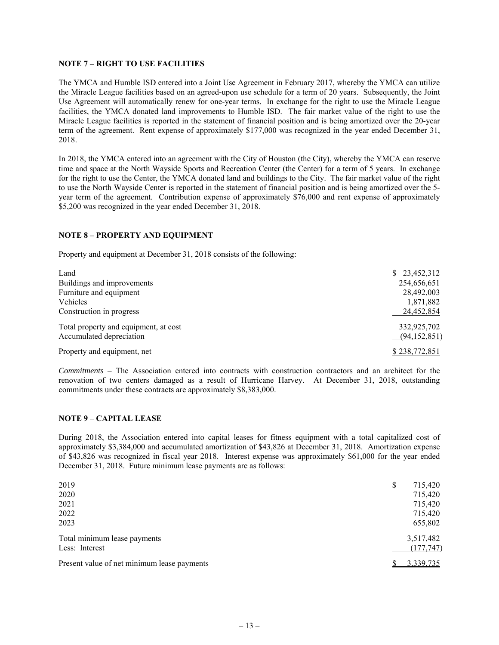### **NOTE 7 – RIGHT TO USE FACILITIES**

The YMCA and Humble ISD entered into a Joint Use Agreement in February 2017, whereby the YMCA can utilize the Miracle League facilities based on an agreed-upon use schedule for a term of 20 years. Subsequently, the Joint Use Agreement will automatically renew for one-year terms. In exchange for the right to use the Miracle League facilities, the YMCA donated land improvements to Humble ISD. The fair market value of the right to use the Miracle League facilities is reported in the statement of financial position and is being amortized over the 20-year term of the agreement. Rent expense of approximately \$177,000 was recognized in the year ended December 31, 2018.

In 2018, the YMCA entered into an agreement with the City of Houston (the City), whereby the YMCA can reserve time and space at the North Wayside Sports and Recreation Center (the Center) for a term of 5 years. In exchange for the right to use the Center, the YMCA donated land and buildings to the City. The fair market value of the right to use the North Wayside Center is reported in the statement of financial position and is being amortized over the 5 year term of the agreement. Contribution expense of approximately \$76,000 and rent expense of approximately \$5,200 was recognized in the year ended December 31, 2018.

## **NOTE 8 – PROPERTY AND EQUIPMENT**

Property and equipment at December 31, 2018 consists of the following:

| Land                                                              | \$23,452,312                |
|-------------------------------------------------------------------|-----------------------------|
| Buildings and improvements                                        | 254,656,651                 |
| Furniture and equipment                                           | 28,492,003                  |
| Vehicles                                                          | 1,871,882                   |
| Construction in progress                                          | 24,452,854                  |
| Total property and equipment, at cost<br>Accumulated depreciation | 332,925,702<br>(94,152,851) |
| Property and equipment, net                                       | \$238,772,851               |

*Commitments* – The Association entered into contracts with construction contractors and an architect for the renovation of two centers damaged as a result of Hurricane Harvey. At December 31, 2018, outstanding commitments under these contracts are approximately \$8,383,000.

#### **NOTE 9 – CAPITAL LEASE**

During 2018, the Association entered into capital leases for fitness equipment with a total capitalized cost of approximately \$3,384,000 and accumulated amortization of \$43,826 at December 31, 2018. Amortization expense of \$43,826 was recognized in fiscal year 2018. Interest expense was approximately \$61,000 for the year ended December 31, 2018. Future minimum lease payments are as follows:

| 2019                                        | ¢<br>D | 715,420    |
|---------------------------------------------|--------|------------|
| 2020                                        |        | 715,420    |
| 2021                                        |        | 715,420    |
| 2022                                        |        | 715,420    |
| 2023                                        |        | 655,802    |
| Total minimum lease payments                |        | 3,517,482  |
| Less: Interest                              |        | (177, 747) |
| Present value of net minimum lease payments |        | 3,339,735  |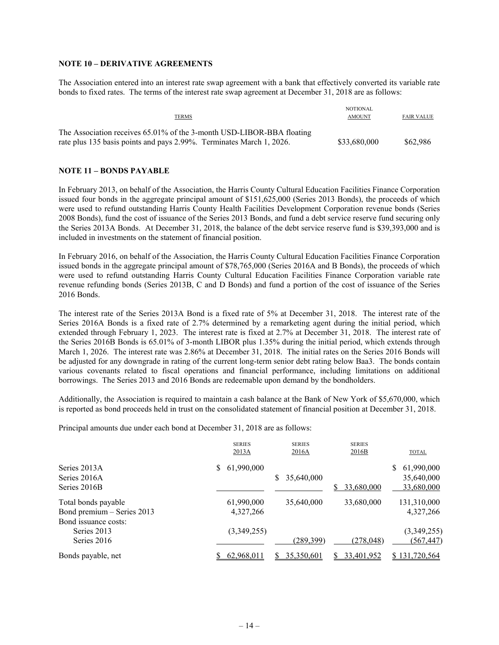### **NOTE 10 – DERIVATIVE AGREEMENTS**

The Association entered into an interest rate swap agreement with a bank that effectively converted its variable rate bonds to fixed rates. The terms of the interest rate swap agreement at December 31, 2018 are as follows:

| <b>TERMS</b>                                                                                                                                  | NOTIONAL<br><b>AMOUNT</b> | FAIR VALUE |
|-----------------------------------------------------------------------------------------------------------------------------------------------|---------------------------|------------|
| The Association receives 65.01% of the 3-month USD-LIBOR-BBA floating<br>rate plus 135 basis points and pays 2.99%. Terminates March 1, 2026. | \$33,680,000              | \$62,986   |

### **NOTE 11 – BONDS PAYABLE**

In February 2013, on behalf of the Association, the Harris County Cultural Education Facilities Finance Corporation issued four bonds in the aggregate principal amount of \$151,625,000 (Series 2013 Bonds), the proceeds of which were used to refund outstanding Harris County Health Facilities Development Corporation revenue bonds (Series 2008 Bonds), fund the cost of issuance of the Series 2013 Bonds, and fund a debt service reserve fund securing only the Series 2013A Bonds. At December 31, 2018, the balance of the debt service reserve fund is \$39,393,000 and is included in investments on the statement of financial position.

In February 2016, on behalf of the Association, the Harris County Cultural Education Facilities Finance Corporation issued bonds in the aggregate principal amount of \$78,765,000 (Series 2016A and B Bonds), the proceeds of which were used to refund outstanding Harris County Cultural Education Facilities Finance Corporation variable rate revenue refunding bonds (Series 2013B, C and D Bonds) and fund a portion of the cost of issuance of the Series 2016 Bonds.

The interest rate of the Series 2013A Bond is a fixed rate of 5% at December 31, 2018. The interest rate of the Series 2016A Bonds is a fixed rate of 2.7% determined by a remarketing agent during the initial period, which extended through February 1, 2023. The interest rate is fixed at 2.7% at December 31, 2018. The interest rate of the Series 2016B Bonds is 65.01% of 3-month LIBOR plus 1.35% during the initial period, which extends through March 1, 2026. The interest rate was 2.86% at December 31, 2018. The initial rates on the Series 2016 Bonds will be adjusted for any downgrade in rating of the current long-term senior debt rating below Baa3. The bonds contain various covenants related to fiscal operations and financial performance, including limitations on additional borrowings. The Series 2013 and 2016 Bonds are redeemable upon demand by the bondholders.

Additionally, the Association is required to maintain a cash balance at the Bank of New York of \$5,670,000, which is reported as bond proceeds held in trust on the consolidated statement of financial position at December 31, 2018.

Principal amounts due under each bond at December 31, 2018 are as follows:

|                            | <b>SERIES</b><br>2013A | <b>SERIES</b><br>2016A | <b>SERIES</b><br>2016B | <b>TOTAL</b>  |
|----------------------------|------------------------|------------------------|------------------------|---------------|
| Series 2013A               | 61,990,000             |                        |                        | 61,990,000    |
| Series 2016A               |                        | 35,640,000<br>S        |                        | 35,640,000    |
| Series 2016B               |                        |                        | 33,680,000             | 33,680,000    |
| Total bonds payable        | 61,990,000             | 35,640,000             | 33,680,000             | 131,310,000   |
| Bond premium - Series 2013 | 4,327,266              |                        |                        | 4,327,266     |
| Bond issuance costs:       |                        |                        |                        |               |
| Series 2013                | (3,349,255)            |                        |                        | (3,349,255)   |
| Series 2016                |                        | (289, 399)             | (278, 048)             | (567, 447)    |
| Bonds payable, net         | 62,968,011             | 35,350,601<br>S.       | 33,401,952             | \$131,720,564 |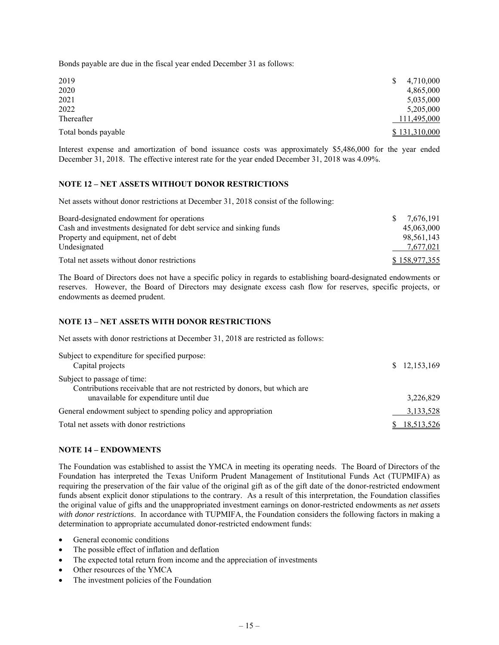Bonds payable are due in the fiscal year ended December 31 as follows:

| 2019                | 4,710,000     |
|---------------------|---------------|
| 2020                | 4,865,000     |
| 2021                | 5,035,000     |
| 2022                | 5,205,000     |
| Thereafter          | 111,495,000   |
| Total bonds payable | \$131,310,000 |

Interest expense and amortization of bond issuance costs was approximately \$5,486,000 for the year ended December 31, 2018. The effective interest rate for the year ended December 31, 2018 was 4.09%.

## **NOTE 12 – NET ASSETS WITHOUT DONOR RESTRICTIONS**

Net assets without donor restrictions at December 31, 2018 consist of the following:

| Board-designated endowment for operations                          | S. | 7.676.191     |
|--------------------------------------------------------------------|----|---------------|
| Cash and investments designated for debt service and sinking funds |    | 45,063,000    |
| Property and equipment, net of debt                                |    | 98.561.143    |
| Undesignated                                                       |    | 7,677,021     |
| Total net assets without donor restrictions                        |    | \$158,977,355 |

The Board of Directors does not have a specific policy in regards to establishing board-designated endowments or reserves. However, the Board of Directors may designate excess cash flow for reserves, specific projects, or endowments as deemed prudent.

### **NOTE 13 – NET ASSETS WITH DONOR RESTRICTIONS**

Net assets with donor restrictions at December 31, 2018 are restricted as follows:

| Subject to expenditure for specified purpose:<br>Capital projects                                        | \$12,153,169 |
|----------------------------------------------------------------------------------------------------------|--------------|
| Subject to passage of time:<br>Contributions receivable that are not restricted by donors, but which are |              |
| unavailable for expenditure until due                                                                    | 3,226,829    |
| General endowment subject to spending policy and appropriation                                           | 3,133,528    |
| Total net assets with donor restrictions                                                                 | 18,513,526   |

#### **NOTE 14 – ENDOWMENTS**

The Foundation was established to assist the YMCA in meeting its operating needs. The Board of Directors of the Foundation has interpreted the Texas Uniform Prudent Management of Institutional Funds Act (TUPMIFA) as requiring the preservation of the fair value of the original gift as of the gift date of the donor-restricted endowment funds absent explicit donor stipulations to the contrary. As a result of this interpretation, the Foundation classifies the original value of gifts and the unappropriated investment earnings on donor-restricted endowments as *net assets with donor restrictions*. In accordance with TUPMIFA, the Foundation considers the following factors in making a determination to appropriate accumulated donor-restricted endowment funds:

- General economic conditions
- The possible effect of inflation and deflation
- The expected total return from income and the appreciation of investments
- Other resources of the YMCA
- The investment policies of the Foundation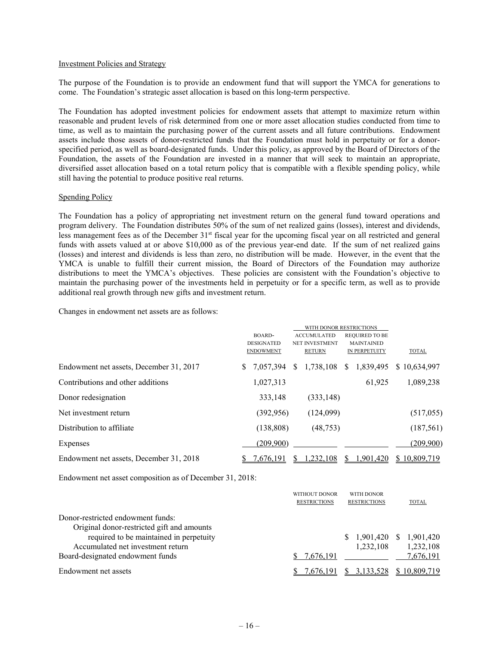#### Investment Policies and Strategy

The purpose of the Foundation is to provide an endowment fund that will support the YMCA for generations to come. The Foundation's strategic asset allocation is based on this long-term perspective.

The Foundation has adopted investment policies for endowment assets that attempt to maximize return within reasonable and prudent levels of risk determined from one or more asset allocation studies conducted from time to time, as well as to maintain the purchasing power of the current assets and all future contributions. Endowment assets include those assets of donor-restricted funds that the Foundation must hold in perpetuity or for a donorspecified period, as well as board-designated funds. Under this policy, as approved by the Board of Directors of the Foundation, the assets of the Foundation are invested in a manner that will seek to maintain an appropriate, diversified asset allocation based on a total return policy that is compatible with a flexible spending policy, while still having the potential to produce positive real returns.

#### Spending Policy

The Foundation has a policy of appropriating net investment return on the general fund toward operations and program delivery. The Foundation distributes 50% of the sum of net realized gains (losses), interest and dividends, less management fees as of the December 31<sup>st</sup> fiscal year for the upcoming fiscal year on all restricted and general funds with assets valued at or above \$10,000 as of the previous year-end date. If the sum of net realized gains (losses) and interest and dividends is less than zero, no distribution will be made. However, in the event that the YMCA is unable to fulfill their current mission, the Board of Directors of the Foundation may authorize distributions to meet the YMCA's objectives. These policies are consistent with the Foundation's objective to maintain the purchasing power of the investments held in perpetuity or for a specific term, as well as to provide additional real growth through new gifts and investment return.

Changes in endowment net assets are as follows:

|                                         | BOARD-<br><b>DESIGNATED</b><br><b>ENDOWMENT</b> | WITH DONOR RESTRICTIONS<br><b>ACCUMULATED</b><br>NET INVESTMENT<br><b>RETURN</b> | <b>REQUIRED TO BE</b><br><b>MAINTAINED</b><br>IN PERPETUITY | <b>TOTAL</b> |
|-----------------------------------------|-------------------------------------------------|----------------------------------------------------------------------------------|-------------------------------------------------------------|--------------|
| Endowment net assets, December 31, 2017 | S.<br>7.057.394                                 | 1,738,108<br>S.                                                                  | 1,839,495<br><sup>S</sup>                                   | \$10,634,997 |
| Contributions and other additions       | 1,027,313                                       |                                                                                  | 61.925                                                      | 1,089,238    |
| Donor redesignation                     | 333,148                                         | (333, 148)                                                                       |                                                             |              |
| Net investment return                   | (392, 956)                                      | (124,099)                                                                        |                                                             | (517,055)    |
| Distribution to affiliate               | (138, 808)                                      | (48, 753)                                                                        |                                                             | (187, 561)   |
| Expenses                                | (209,900)                                       |                                                                                  |                                                             | (209,900)    |
| Endowment net assets, December 31, 2018 | .676.191                                        | .232.108                                                                         | .901,420                                                    | \$10,809,719 |

Endowment net asset composition as of December 31, 2018:

|                                                                                 | WITHOUT DONOR<br><b>RESTRICTIONS</b> | <b>WITH DONOR</b><br><b>RESTRICTIONS</b> | <b>TOTAL</b>                 |
|---------------------------------------------------------------------------------|--------------------------------------|------------------------------------------|------------------------------|
| Donor-restricted endowment funds:<br>Original donor-restricted gift and amounts |                                      |                                          |                              |
| required to be maintained in perpetuity<br>Accumulated net investment return    |                                      | 1.901.420<br>S.<br>1,232,108             | 1,901,420<br>S.<br>1,232,108 |
| Board-designated endowment funds                                                | 7,676,191                            |                                          | 7,676,191                    |
| Endowment net assets                                                            | 7.676.191                            | 3.133.528                                | \$10.809.719                 |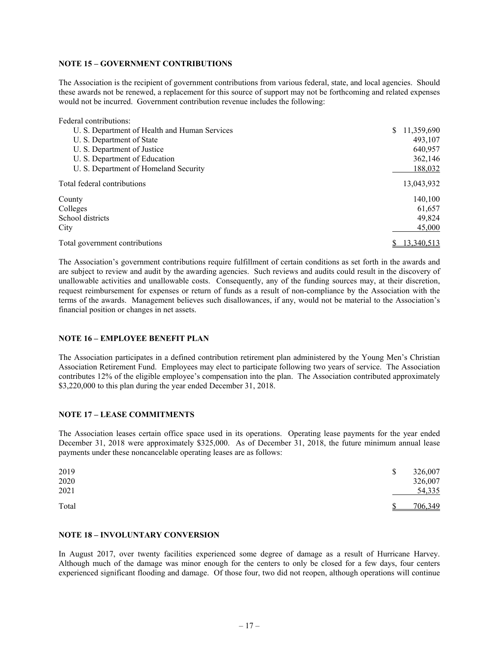### **NOTE 15 – GOVERNMENT CONTRIBUTIONS**

The Association is the recipient of government contributions from various federal, state, and local agencies. Should these awards not be renewed, a replacement for this source of support may not be forthcoming and related expenses would not be incurred. Government contribution revenue includes the following:

| Federal contributions:                        |                  |
|-----------------------------------------------|------------------|
| U. S. Department of Health and Human Services | 11,359,690<br>\$ |
| U. S. Department of State                     | 493,107          |
| U. S. Department of Justice                   | 640,957          |
| U. S. Department of Education                 | 362,146          |
| U. S. Department of Homeland Security         | 188,032          |
| Total federal contributions                   | 13,043,932       |
| County                                        | 140,100          |
| Colleges                                      | 61,657           |
| School districts                              | 49,824           |
| City                                          | 45,000           |
| Total government contributions                | 13,340,513       |

The Association's government contributions require fulfillment of certain conditions as set forth in the awards and are subject to review and audit by the awarding agencies. Such reviews and audits could result in the discovery of unallowable activities and unallowable costs. Consequently, any of the funding sources may, at their discretion, request reimbursement for expenses or return of funds as a result of non-compliance by the Association with the terms of the awards. Management believes such disallowances, if any, would not be material to the Association's financial position or changes in net assets.

## **NOTE 16 – EMPLOYEE BENEFIT PLAN**

The Association participates in a defined contribution retirement plan administered by the Young Men's Christian Association Retirement Fund. Employees may elect to participate following two years of service. The Association contributes 12% of the eligible employee's compensation into the plan. The Association contributed approximately \$3,220,000 to this plan during the year ended December 31, 2018.

## **NOTE 17 – LEASE COMMITMENTS**

The Association leases certain office space used in its operations. Operating lease payments for the year ended December 31, 2018 were approximately \$325,000. As of December 31, 2018, the future minimum annual lease payments under these noncancelable operating leases are as follows:

| 2019<br>2020<br>2021 | \$<br>326,007<br>326,007<br>54,335 |
|----------------------|------------------------------------|
| Total                | 706,349                            |

#### **NOTE 18 – INVOLUNTARY CONVERSION**

In August 2017, over twenty facilities experienced some degree of damage as a result of Hurricane Harvey. Although much of the damage was minor enough for the centers to only be closed for a few days, four centers experienced significant flooding and damage. Of those four, two did not reopen, although operations will continue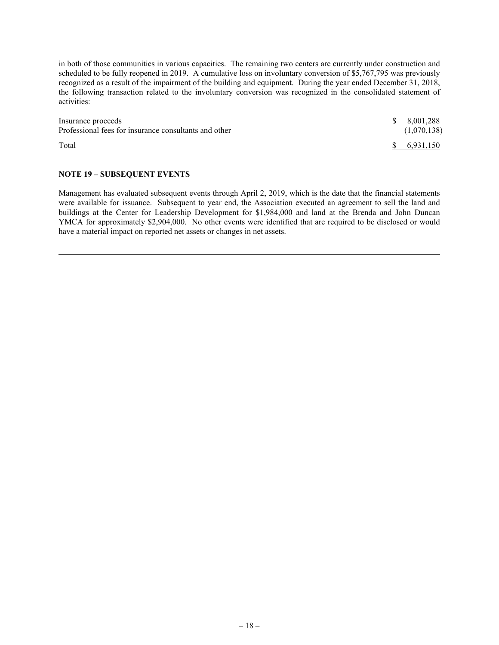in both of those communities in various capacities. The remaining two centers are currently under construction and scheduled to be fully reopened in 2019. A cumulative loss on involuntary conversion of \$5,767,795 was previously recognized as a result of the impairment of the building and equipment. During the year ended December 31, 2018, the following transaction related to the involuntary conversion was recognized in the consolidated statement of activities:

| Insurance proceeds                                    | \$8.001.288    |
|-------------------------------------------------------|----------------|
| Professional fees for insurance consultants and other | (1,070,138)    |
| Total                                                 | $\$$ 6.931.150 |

## **NOTE 19 – SUBSEQUENT EVENTS**

Management has evaluated subsequent events through April 2, 2019, which is the date that the financial statements were available for issuance. Subsequent to year end, the Association executed an agreement to sell the land and buildings at the Center for Leadership Development for \$1,984,000 and land at the Brenda and John Duncan YMCA for approximately \$2,904,000. No other events were identified that are required to be disclosed or would have a material impact on reported net assets or changes in net assets.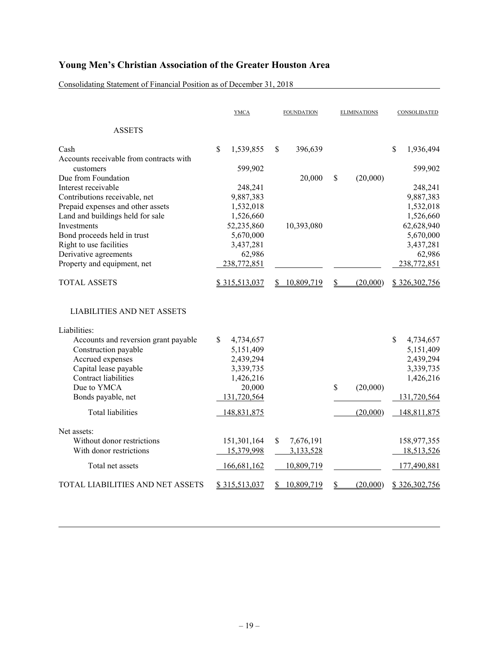Consolidating Statement of Financial Position as of December 31, 2018

|                                                      |              | <b>YMCA</b>           | <b>FOUNDATION</b> |              | <b>ELIMINATIONS</b>    |          | CONSOLIDATED |                       |
|------------------------------------------------------|--------------|-----------------------|-------------------|--------------|------------------------|----------|--------------|-----------------------|
| <b>ASSETS</b>                                        |              |                       |                   |              |                        |          |              |                       |
| Cash                                                 | $\mathbb{S}$ | 1,539,855             | \$.               | 396,639      |                        |          | \$           | 1,936,494             |
| Accounts receivable from contracts with<br>customers |              | 599,902               |                   |              |                        |          |              | 599,902               |
| Due from Foundation                                  |              |                       |                   | 20,000       | \$                     | (20,000) |              |                       |
| Interest receivable                                  |              | 248,241               |                   |              |                        |          |              | 248,241               |
| Contributions receivable, net                        |              | 9,887,383             |                   |              |                        |          |              | 9,887,383             |
| Prepaid expenses and other assets                    |              | 1,532,018             |                   |              |                        |          |              | 1,532,018             |
| Land and buildings held for sale                     |              | 1,526,660             |                   |              |                        |          |              | 1,526,660             |
| <b>Investments</b>                                   |              | 52,235,860            |                   | 10,393,080   |                        |          |              | 62,628,940            |
| Bond proceeds held in trust                          |              | 5,670,000             |                   |              |                        |          |              | 5,670,000             |
| Right to use facilities                              |              | 3,437,281             |                   |              |                        |          |              | 3,437,281             |
| Derivative agreements<br>Property and equipment, net |              | 62,986<br>238,772,851 |                   |              |                        |          |              | 62,986<br>238,772,851 |
|                                                      |              |                       |                   |              |                        |          |              |                       |
| <b>TOTAL ASSETS</b>                                  |              | \$315,513,037         | S.                | 10,809,719   | $\mathbf{\mathcal{S}}$ | (20,000) |              | \$326,302,756         |
| <b>LIABILITIES AND NET ASSETS</b>                    |              |                       |                   |              |                        |          |              |                       |
| Liabilities:                                         |              |                       |                   |              |                        |          |              |                       |
| Accounts and reversion grant payable                 | \$.          | 4,734,657             |                   |              |                        |          | $\mathbb{S}$ | 4,734,657             |
| Construction payable                                 |              | 5,151,409             |                   |              |                        |          |              | 5,151,409             |
| Accrued expenses                                     |              | 2,439,294             |                   |              |                        |          |              | 2,439,294             |
| Capital lease payable                                |              | 3,339,735             |                   |              |                        |          |              | 3,339,735             |
| <b>Contract liabilities</b>                          |              | 1,426,216             |                   |              |                        |          |              | 1,426,216             |
| Due to YMCA                                          |              | 20,000                |                   |              | \$                     | (20,000) |              |                       |
| Bonds payable, net                                   |              | 131,720,564           |                   |              |                        |          |              | 131,720,564           |
| Total liabilities                                    |              | 148,831,875           |                   |              |                        | (20,000) |              | 148,811,875           |
| Net assets:                                          |              |                       |                   |              |                        |          |              |                       |
| Without donor restrictions                           |              | 151,301,164           | \$                | 7,676,191    |                        |          |              | 158,977,355           |
| With donor restrictions                              |              | 15,379,998            |                   | 3,133,528    |                        |          |              | 18,513,526            |
| Total net assets                                     |              | 166,681,162           |                   | 10,809,719   |                        |          |              | 177,490,881           |
| TOTAL LIABILITIES AND NET ASSETS                     |              | \$315,513,037         |                   | \$10,809,719 | S                      | (20,000) |              | \$326,302,756         |